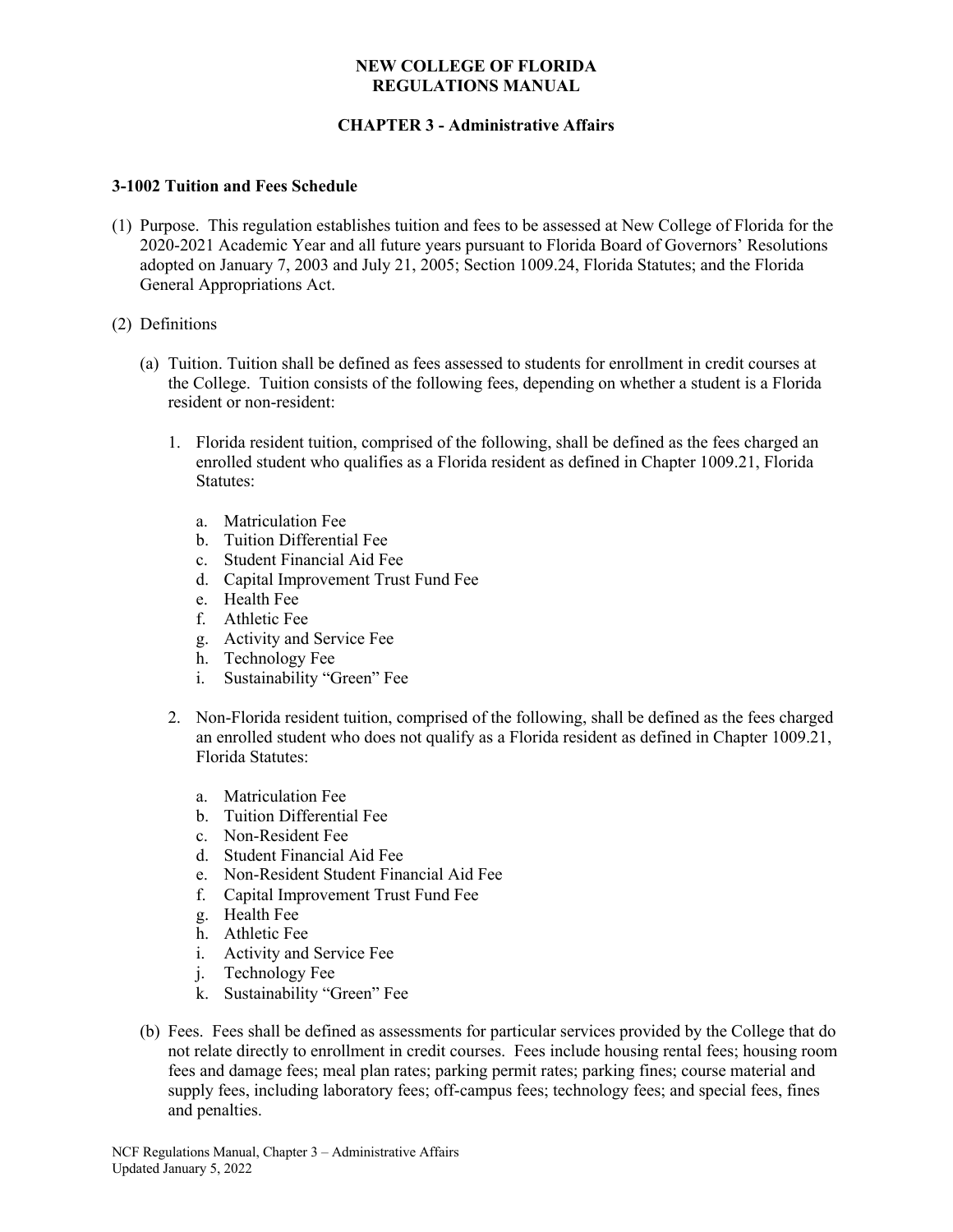# **CHAPTER 3 - Administrative Affairs**

#### **3-1002 Tuition and Fees Schedule**

- (1) Purpose. This regulation establishes tuition and fees to be assessed at New College of Florida for the 2020-2021 Academic Year and all future years pursuant to Florida Board of Governors' Resolutions adopted on January 7, 2003 and July 21, 2005; Section 1009.24, Florida Statutes; and the Florida General Appropriations Act.
- (2) Definitions
	- (a) Tuition. Tuition shall be defined as fees assessed to students for enrollment in credit courses at the College. Tuition consists of the following fees, depending on whether a student is a Florida resident or non-resident:
		- 1. Florida resident tuition, comprised of the following, shall be defined as the fees charged an enrolled student who qualifies as a Florida resident as defined in Chapter 1009.21, Florida Statutes:
			- a. Matriculation Fee
			- b. Tuition Differential Fee
			- c. Student Financial Aid Fee
			- d. Capital Improvement Trust Fund Fee
			- e. Health Fee
			- f. Athletic Fee
			- g. Activity and Service Fee
			- h. Technology Fee
			- i. Sustainability "Green" Fee
		- 2. Non-Florida resident tuition, comprised of the following, shall be defined as the fees charged an enrolled student who does not qualify as a Florida resident as defined in Chapter 1009.21, Florida Statutes:
			- a. Matriculation Fee
			- b. Tuition Differential Fee
			- c. Non-Resident Fee
			- d. Student Financial Aid Fee
			- e. Non-Resident Student Financial Aid Fee
			- f. Capital Improvement Trust Fund Fee
			- g. Health Fee
			- h. Athletic Fee
			- i. Activity and Service Fee
			- j. Technology Fee
			- k. Sustainability "Green" Fee
	- (b) Fees. Fees shall be defined as assessments for particular services provided by the College that do not relate directly to enrollment in credit courses. Fees include housing rental fees; housing room fees and damage fees; meal plan rates; parking permit rates; parking fines; course material and supply fees, including laboratory fees; off-campus fees; technology fees; and special fees, fines and penalties.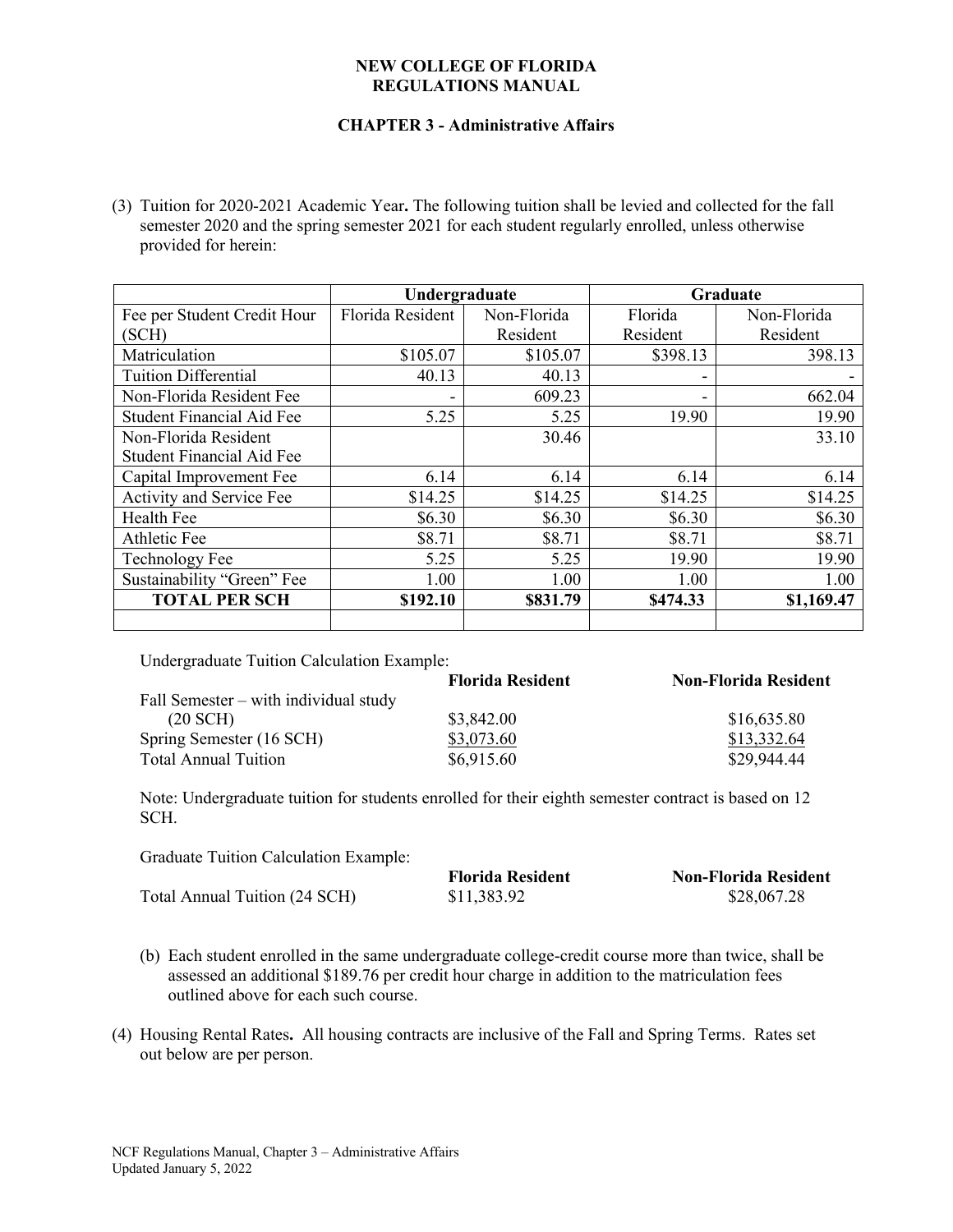## **CHAPTER 3 - Administrative Affairs**

(3) Tuition for 2020-2021 Academic Year**.** The following tuition shall be levied and collected for the fall semester 2020 and the spring semester 2021 for each student regularly enrolled, unless otherwise provided for herein:

|                                  | Undergraduate    |             |          | Graduate    |
|----------------------------------|------------------|-------------|----------|-------------|
| Fee per Student Credit Hour      | Florida Resident | Non-Florida | Florida  | Non-Florida |
| (SCH)                            |                  | Resident    | Resident | Resident    |
| Matriculation                    | \$105.07         | \$105.07    | \$398.13 | 398.13      |
| <b>Tuition Differential</b>      | 40.13            | 40.13       |          |             |
| Non-Florida Resident Fee         |                  | 609.23      |          | 662.04      |
| <b>Student Financial Aid Fee</b> | 5.25             | 5.25        | 19.90    | 19.90       |
| Non-Florida Resident             |                  | 30.46       |          | 33.10       |
| <b>Student Financial Aid Fee</b> |                  |             |          |             |
| Capital Improvement Fee          | 6.14             | 6.14        | 6.14     | 6.14        |
| Activity and Service Fee         | \$14.25          | \$14.25     | \$14.25  | \$14.25     |
| Health Fee                       | \$6.30           | \$6.30      | \$6.30   | \$6.30      |
| Athletic Fee                     | \$8.71           | \$8.71      | \$8.71   | \$8.71      |
| <b>Technology Fee</b>            | 5.25             | 5.25        | 19.90    | 19.90       |
| Sustainability "Green" Fee       | 1.00             | 1.00        | 1.00     | 1.00        |
| <b>TOTAL PER SCH</b>             | \$192.10         | \$831.79    | \$474.33 | \$1,169.47  |
|                                  |                  |             |          |             |

Undergraduate Tuition Calculation Example:

| <b>Florida Resident</b>                 | <b>Non-Florida Resident</b> |
|-----------------------------------------|-----------------------------|
| Fall Semester $-$ with individual study |                             |
| \$3,842.00                              | \$16,635.80                 |
| \$3,073.60                              | \$13,332.64                 |
| \$6,915.60                              | \$29,944.44                 |
|                                         |                             |

Note: Undergraduate tuition for students enrolled for their eighth semester contract is based on 12 SCH.

Graduate Tuition Calculation Example:

|                               | <b>Florida Resident</b> | <b>Non-Florida Resident</b> |
|-------------------------------|-------------------------|-----------------------------|
| Total Annual Tuition (24 SCH) | \$11,383.92             | \$28,067.28                 |

- (b) Each student enrolled in the same undergraduate college-credit course more than twice, shall be assessed an additional \$189.76 per credit hour charge in addition to the matriculation fees outlined above for each such course.
- (4) Housing Rental Rates**.** All housing contracts are inclusive of the Fall and Spring Terms. Rates set out below are per person.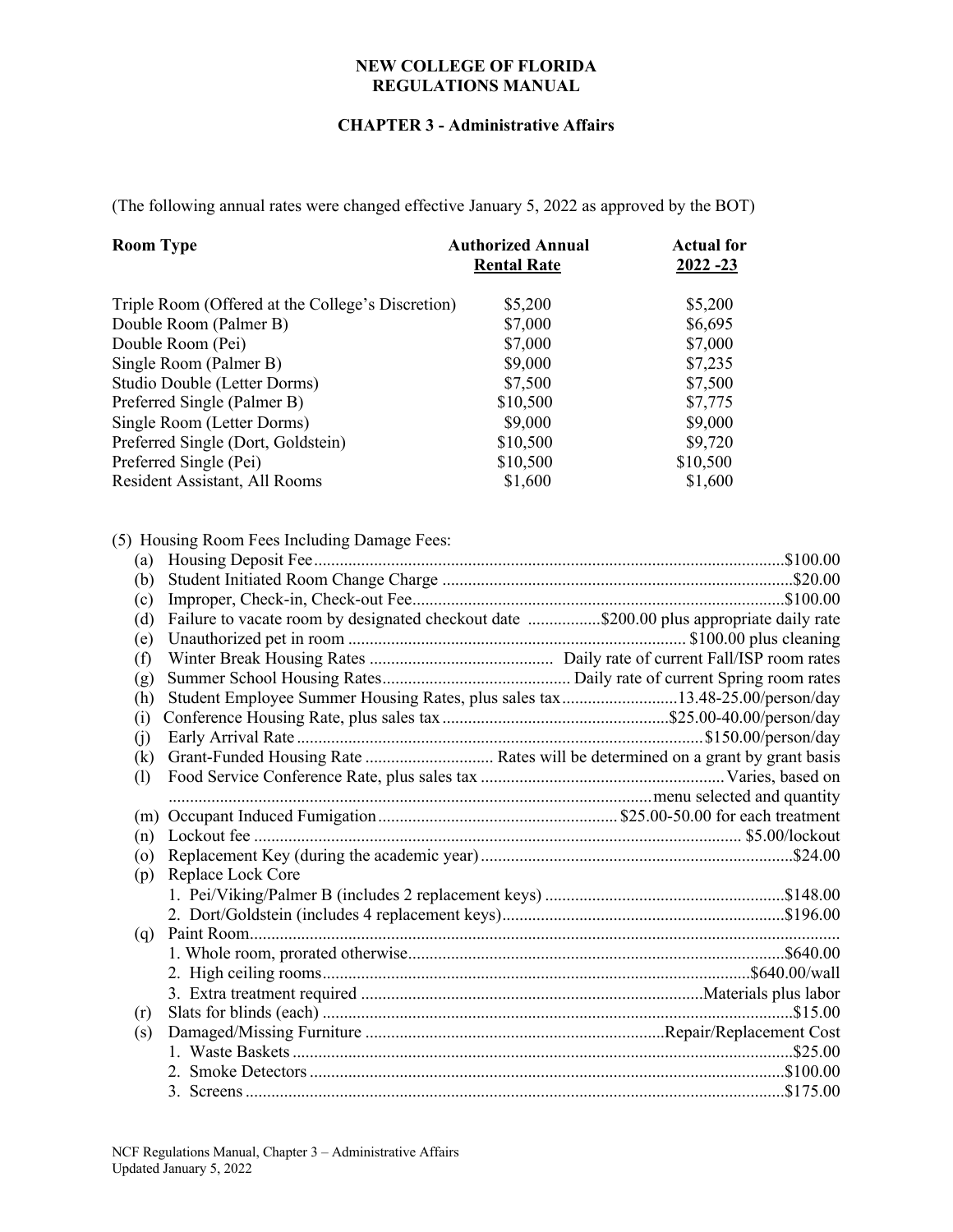### **CHAPTER 3 - Administrative Affairs**

(The following annual rates were changed effective January 5, 2022 as approved by the BOT)

| <b>Room Type</b>                                  | <b>Authorized Annual</b> | <b>Actual for</b> |  |
|---------------------------------------------------|--------------------------|-------------------|--|
|                                                   | <b>Rental Rate</b>       | $2022 - 23$       |  |
| Triple Room (Offered at the College's Discretion) | \$5,200                  | \$5,200           |  |
| Double Room (Palmer B)                            | \$7,000                  | \$6,695           |  |
| Double Room (Pei)                                 | \$7,000                  | \$7,000           |  |
| Single Room (Palmer B)                            | \$9,000                  | \$7,235           |  |
| Studio Double (Letter Dorms)                      | \$7,500                  | \$7,500           |  |
| Preferred Single (Palmer B)                       | \$10,500                 | \$7,775           |  |
| Single Room (Letter Dorms)                        | \$9,000                  | \$9,000           |  |
| Preferred Single (Dort, Goldstein)                | \$10,500                 | \$9,720           |  |
| Preferred Single (Pei)                            | \$10,500                 | \$10,500          |  |
| Resident Assistant, All Rooms                     | \$1,600                  | \$1,600           |  |

# (5) Housing Room Fees Including Damage Fees:

| (a)     |                                                                                         |  |
|---------|-----------------------------------------------------------------------------------------|--|
| (b)     |                                                                                         |  |
| (c)     |                                                                                         |  |
| (d)     | Failure to vacate room by designated checkout date \$200.00 plus appropriate daily rate |  |
| (e)     |                                                                                         |  |
| (f)     |                                                                                         |  |
| (g)     |                                                                                         |  |
| (h)     | Student Employee Summer Housing Rates, plus sales tax13.48-25.00/person/day             |  |
| (i)     |                                                                                         |  |
| (j)     |                                                                                         |  |
| (k)     |                                                                                         |  |
| (1)     |                                                                                         |  |
|         |                                                                                         |  |
| (m)     |                                                                                         |  |
| (n)     |                                                                                         |  |
| $\circ$ |                                                                                         |  |
| (p)     | Replace Lock Core                                                                       |  |
|         |                                                                                         |  |
|         |                                                                                         |  |
| (q)     |                                                                                         |  |
|         |                                                                                         |  |
|         |                                                                                         |  |
|         |                                                                                         |  |
| (r)     |                                                                                         |  |
| (s)     |                                                                                         |  |
|         |                                                                                         |  |
|         |                                                                                         |  |
|         |                                                                                         |  |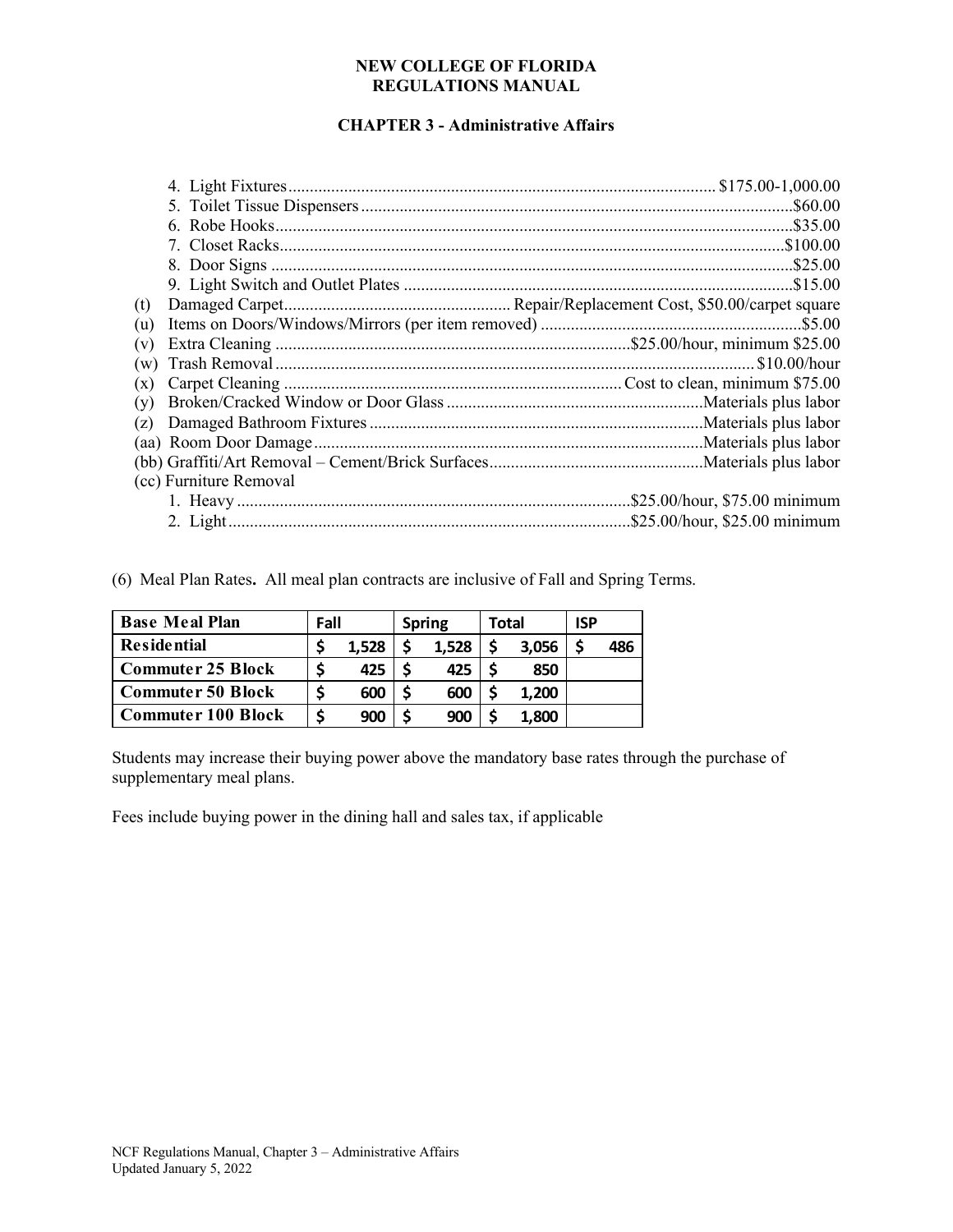# **CHAPTER 3 - Administrative Affairs**

| (t) |                        |  |
|-----|------------------------|--|
| (u) |                        |  |
| (v) |                        |  |
| (w) |                        |  |
| (x) |                        |  |
| (y) |                        |  |
| (z) |                        |  |
|     |                        |  |
|     |                        |  |
|     | (cc) Furniture Removal |  |
|     |                        |  |
|     |                        |  |

(6) Meal Plan Rates**.** All meal plan contracts are inclusive of Fall and Spring Terms.

| <b>Base Meal Plan</b>     | Fall |       | <b>Spring</b> | Total |       | <b>ISP</b> |     |
|---------------------------|------|-------|---------------|-------|-------|------------|-----|
| <b>Residential</b>        |      | 1,528 | 1,528         |       | 3,056 |            | 486 |
| <b>Commuter 25 Block</b>  |      | 425   | 425           |       | 850   |            |     |
| <b>Commuter 50 Block</b>  |      | 600   | 600           |       | 1,200 |            |     |
| <b>Commuter 100 Block</b> |      | 900   | 900           |       | 1,800 |            |     |

Students may increase their buying power above the mandatory base rates through the purchase of supplementary meal plans.

Fees include buying power in the dining hall and sales tax, if applicable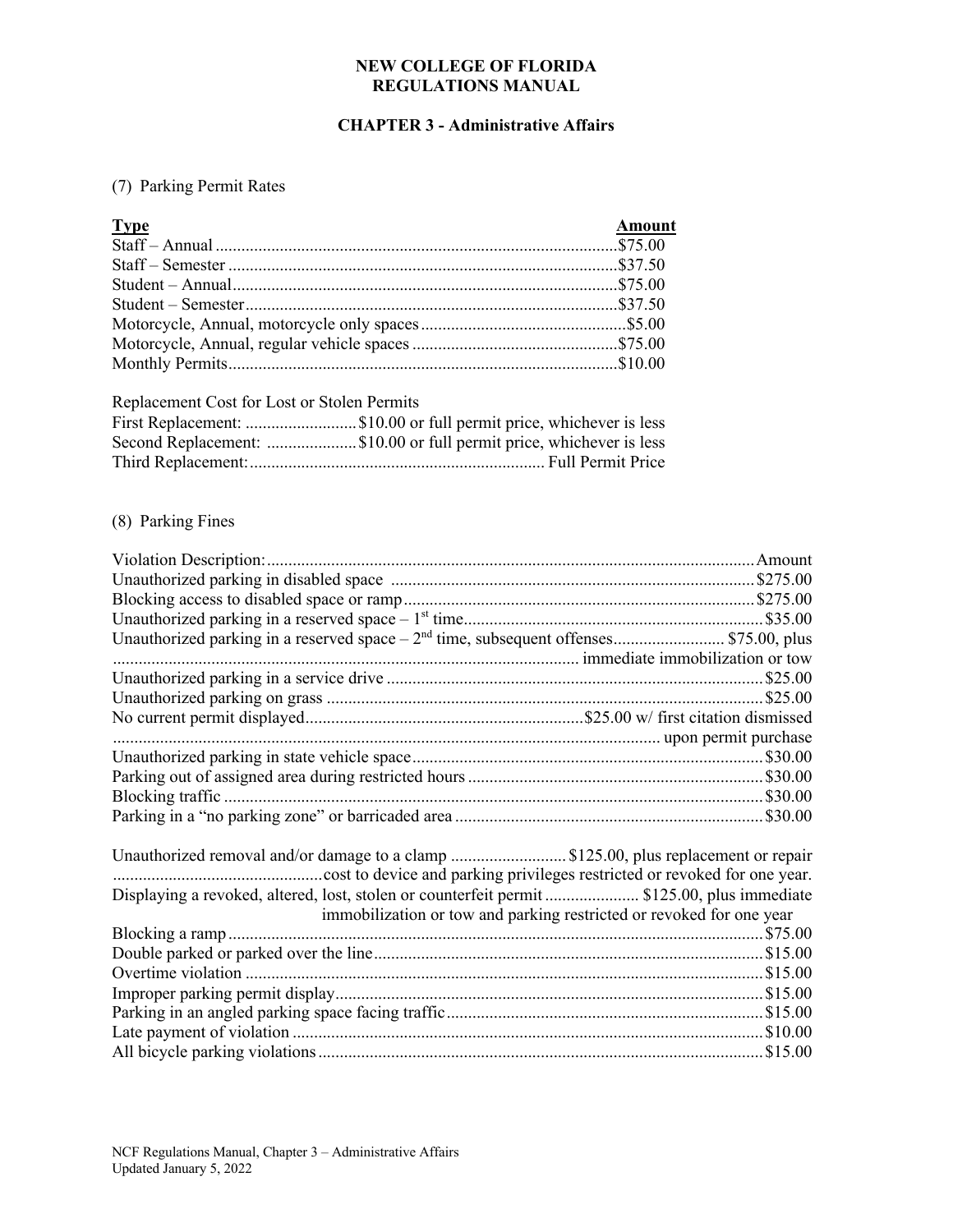# **CHAPTER 3 - Administrative Affairs**

# (7) Parking Permit Rates

| <b>Type</b> | <b>Amount</b> |
|-------------|---------------|
|             |               |
|             |               |
|             |               |
|             |               |
|             |               |
|             |               |
|             |               |
|             |               |

### Replacement Cost for Lost or Stolen Permits

| First Replacement: \$10.00 or full permit price, whichever is less  |
|---------------------------------------------------------------------|
| Second Replacement: \$10.00 or full permit price, whichever is less |
|                                                                     |

# (8) Parking Fines

| Unauthorized parking in a reserved space $-2nd$ time, subsequent offenses \$75.00, plus     |  |
|---------------------------------------------------------------------------------------------|--|
|                                                                                             |  |
|                                                                                             |  |
|                                                                                             |  |
|                                                                                             |  |
|                                                                                             |  |
|                                                                                             |  |
|                                                                                             |  |
|                                                                                             |  |
|                                                                                             |  |
|                                                                                             |  |
| Displaying a revoked, altered, lost, stolen or counterfeit permit  \$125.00, plus immediate |  |

| immobilization or tow and parking restricted or revoked for one year |  |
|----------------------------------------------------------------------|--|
|                                                                      |  |
|                                                                      |  |
|                                                                      |  |
|                                                                      |  |
|                                                                      |  |
|                                                                      |  |
|                                                                      |  |
|                                                                      |  |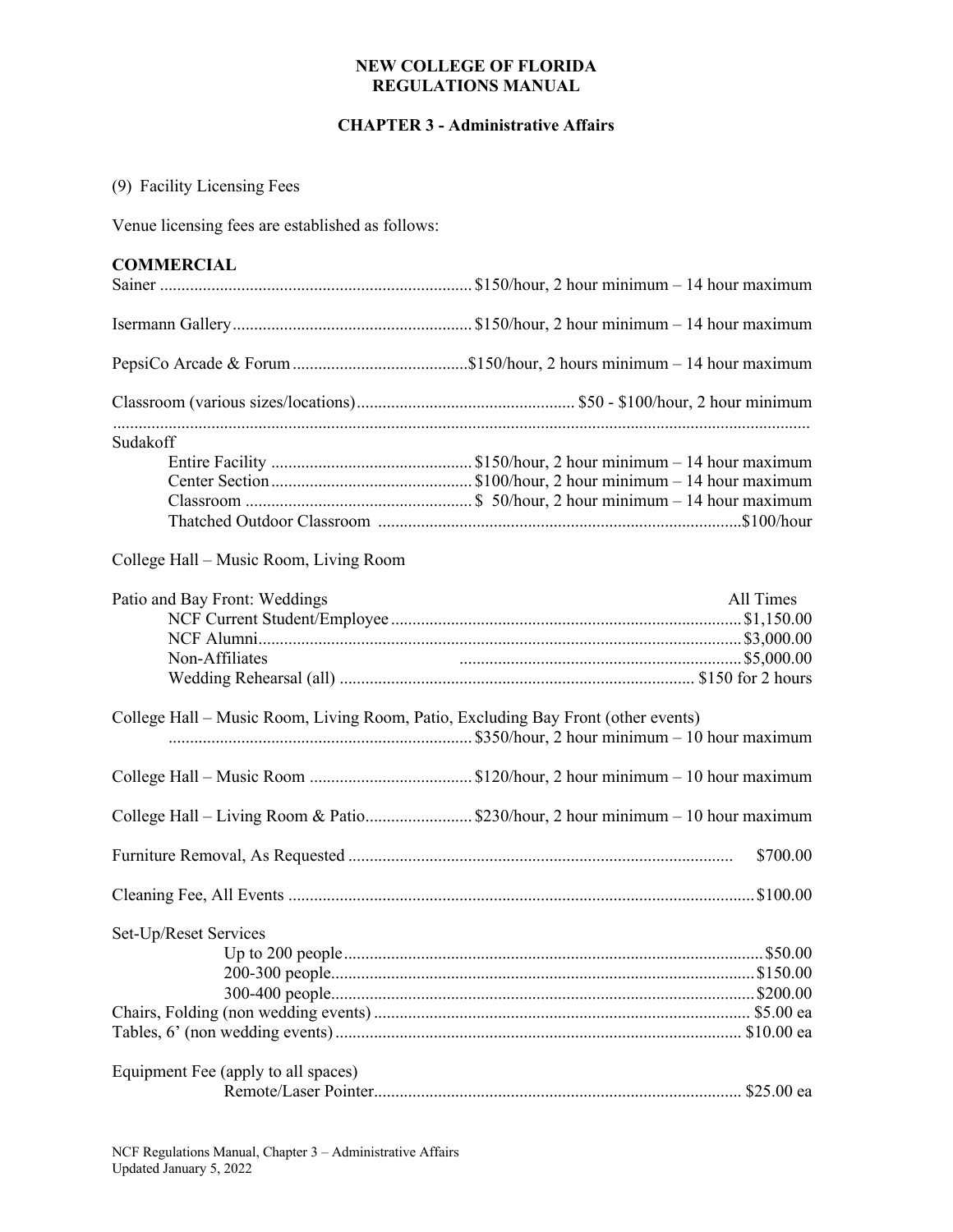### **CHAPTER 3 - Administrative Affairs**

# (9) Facility Licensing Fees

Venue licensing fees are established as follows:

# **COMMERCIAL**

| <b>JININILINUM ML</b>                                                             |           |
|-----------------------------------------------------------------------------------|-----------|
|                                                                                   |           |
|                                                                                   |           |
|                                                                                   |           |
| Sudakoff                                                                          |           |
| College Hall – Music Room, Living Room                                            |           |
| Patio and Bay Front: Weddings<br>Non-Affiliates                                   | All Times |
| College Hall – Music Room, Living Room, Patio, Excluding Bay Front (other events) |           |
|                                                                                   |           |
| College Hall – Living Room & Patio\$230/hour, 2 hour minimum – 10 hour maximum    |           |
|                                                                                   | \$700.00  |
|                                                                                   |           |
| Set-Up/Reset Services                                                             |           |
| Equipment Fee (apply to all spaces)                                               |           |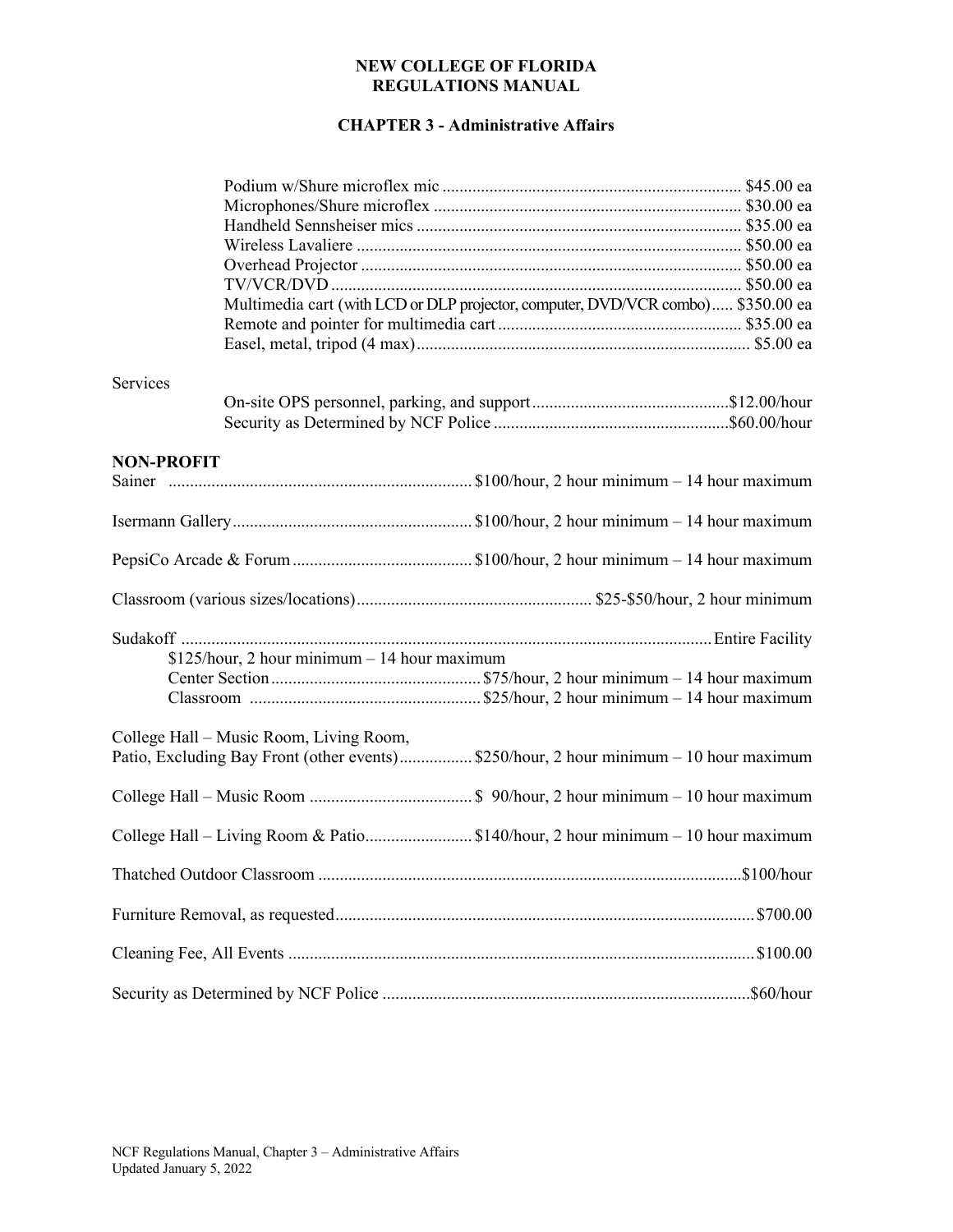# **CHAPTER 3 - Administrative Affairs**

|                   | Multimedia cart (with LCD or DLP projector, computer, DVD/VCR combo) \$350.00 ea       |  |
|-------------------|----------------------------------------------------------------------------------------|--|
|                   |                                                                                        |  |
|                   |                                                                                        |  |
|                   |                                                                                        |  |
| Services          |                                                                                        |  |
|                   |                                                                                        |  |
|                   |                                                                                        |  |
| <b>NON-PROFIT</b> |                                                                                        |  |
|                   |                                                                                        |  |
|                   |                                                                                        |  |
|                   |                                                                                        |  |
|                   |                                                                                        |  |
|                   |                                                                                        |  |
|                   | $$125/hour, 2 hour minimum - 14 hour maximum$                                          |  |
|                   |                                                                                        |  |
|                   |                                                                                        |  |
|                   | College Hall - Music Room, Living Room,                                                |  |
|                   | Patio, Excluding Bay Front (other events) \$250/hour, 2 hour minimum - 10 hour maximum |  |
|                   |                                                                                        |  |
|                   |                                                                                        |  |
|                   | College Hall - Living Room & Patio\$140/hour, 2 hour minimum - 10 hour maximum         |  |
|                   |                                                                                        |  |
|                   |                                                                                        |  |
|                   |                                                                                        |  |
|                   |                                                                                        |  |
|                   |                                                                                        |  |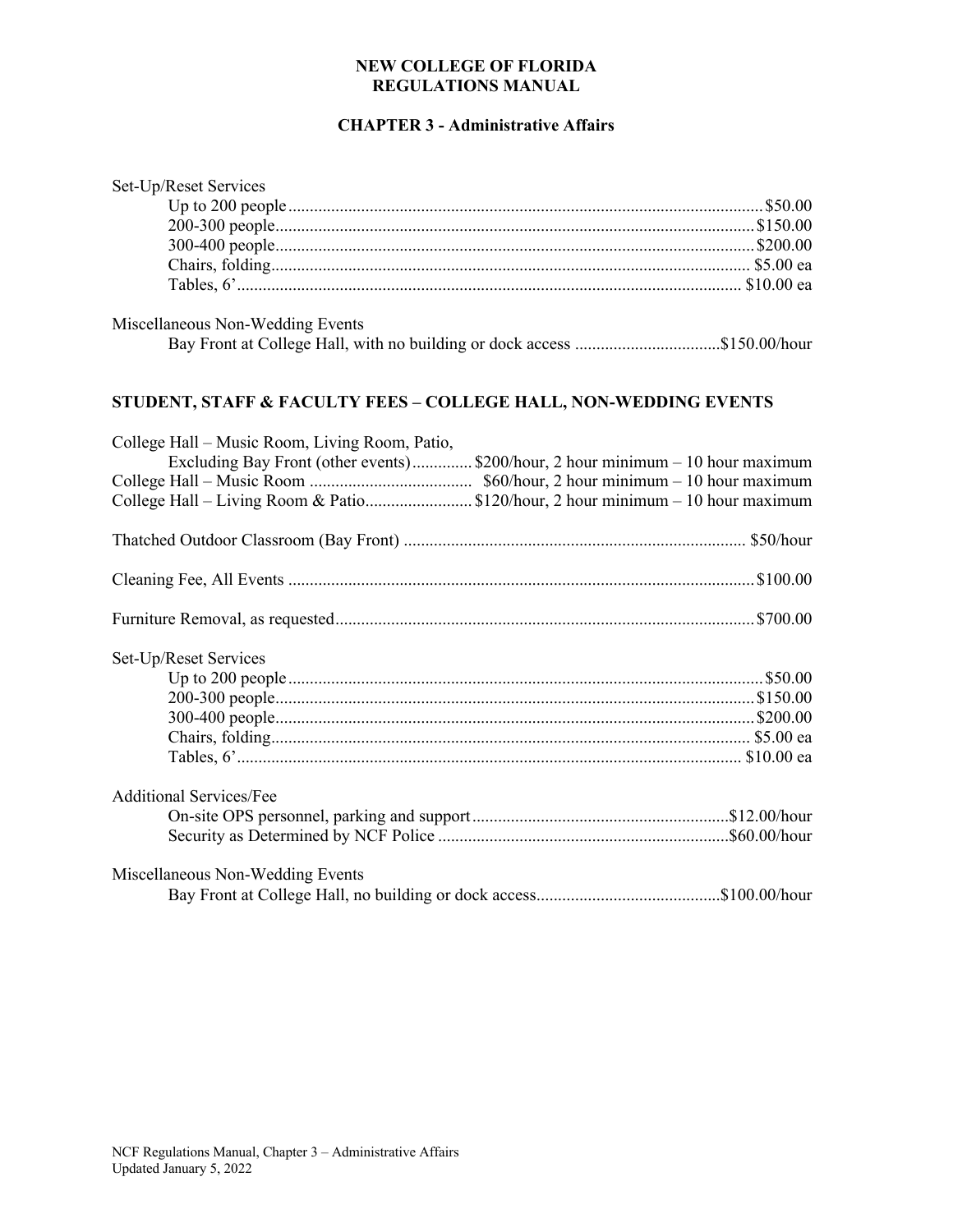# **CHAPTER 3 - Administrative Affairs**

| Set-Up/Reset Services                                                                                        |  |
|--------------------------------------------------------------------------------------------------------------|--|
|                                                                                                              |  |
|                                                                                                              |  |
|                                                                                                              |  |
|                                                                                                              |  |
|                                                                                                              |  |
|                                                                                                              |  |
| Miscellaneous Non-Wedding Events<br>Bay Front at College Hall, with no building or dock access \$150.00/hour |  |
| STUDENT, STAFF & FACULTY FEES - COLLEGE HALL, NON-WEDDING EVENTS                                             |  |
| College Hall - Music Room, Living Room, Patio,                                                               |  |
| Excluding Bay Front (other events)\$200/hour, 2 hour minimum - 10 hour maximum                               |  |
|                                                                                                              |  |
| College Hall - Living Room & Patio\$120/hour, 2 hour minimum - 10 hour maximum                               |  |
|                                                                                                              |  |
|                                                                                                              |  |
|                                                                                                              |  |
| Set-Up/Reset Services                                                                                        |  |
|                                                                                                              |  |
|                                                                                                              |  |
|                                                                                                              |  |
|                                                                                                              |  |
|                                                                                                              |  |
| <b>Additional Services/Fee</b>                                                                               |  |
|                                                                                                              |  |
|                                                                                                              |  |
| Miscellaneous Non-Wedding Events                                                                             |  |
|                                                                                                              |  |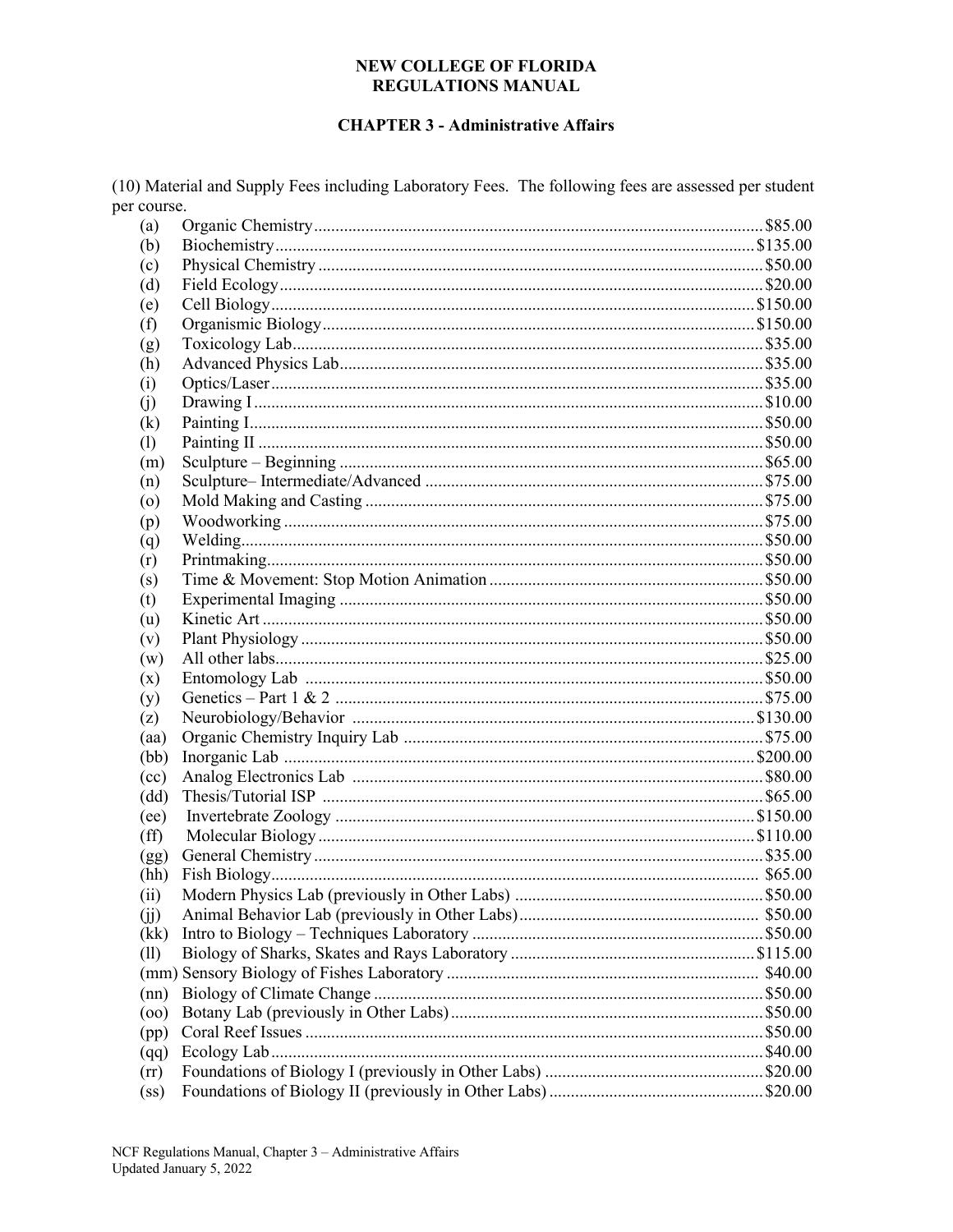### **CHAPTER 3 - Administrative Affairs**

(10) Material and Supply Fees including Laboratory Fees. The following fees are assessed per student per course.

| (a)               |  |
|-------------------|--|
| (b)               |  |
| (c)               |  |
| (d)               |  |
| (e)               |  |
| (f)               |  |
| (g)               |  |
| (h)               |  |
| (i)               |  |
| (i)               |  |
| $\rm(k)$          |  |
| (1)               |  |
| (m)               |  |
| (n)               |  |
| $\circ$           |  |
| (p)               |  |
| (q)               |  |
| (r)               |  |
| (s)               |  |
| (t)               |  |
| (u)               |  |
| (v)               |  |
| (w)               |  |
| (x)               |  |
| (y)               |  |
| (z)               |  |
| (aa)              |  |
| (bb)              |  |
| (cc)              |  |
| (dd)              |  |
| (ee)              |  |
| $(f\hat{f})$      |  |
| (gg)              |  |
| (hh)              |  |
| (ii)              |  |
| (i)               |  |
| (kk)              |  |
| (11)              |  |
|                   |  |
| (nn)              |  |
| (00)              |  |
| (pp)              |  |
|                   |  |
| (qq)              |  |
| (rr)              |  |
| (s <sub>s</sub> ) |  |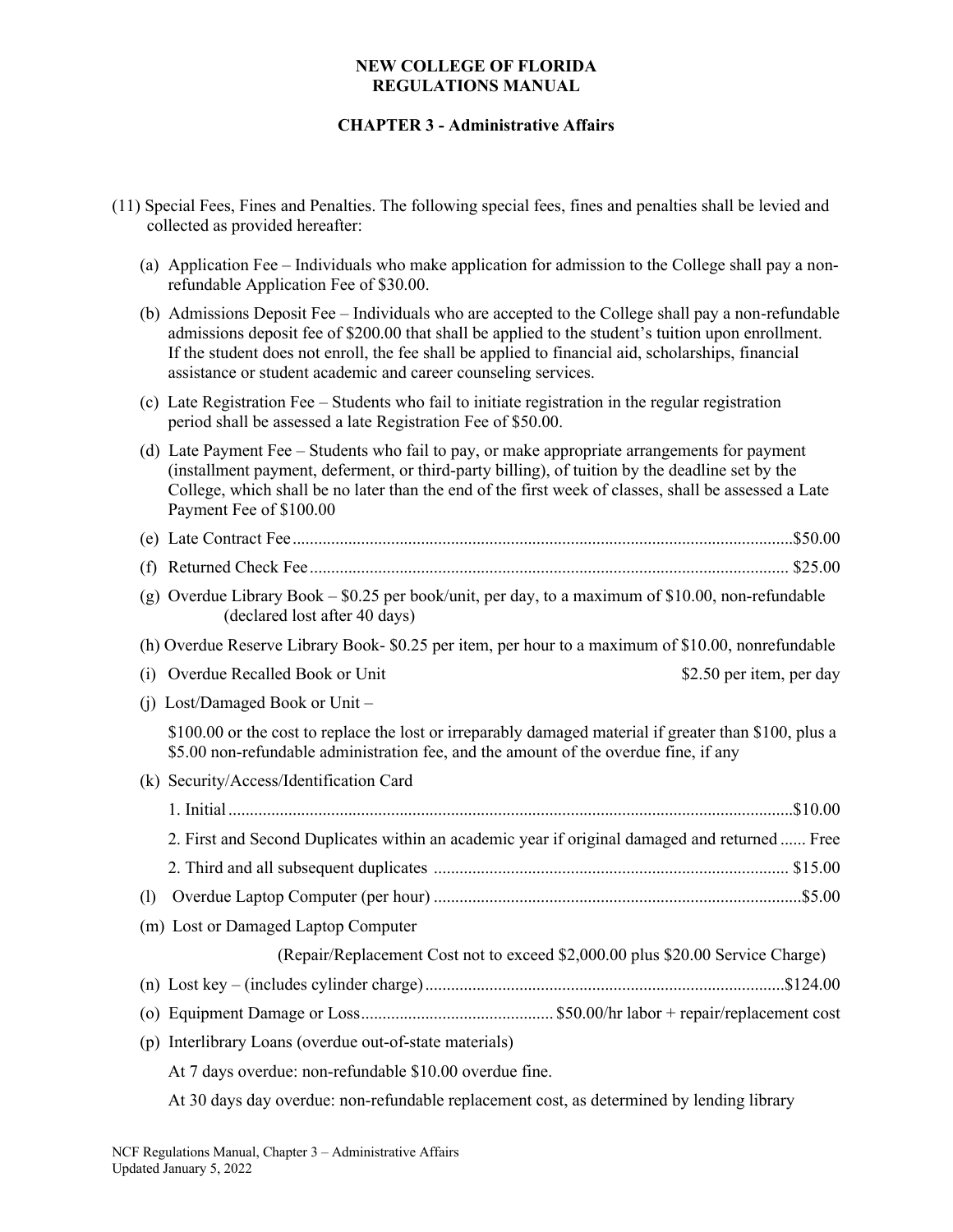# **CHAPTER 3 - Administrative Affairs**

- (11) Special Fees, Fines and Penalties. The following special fees, fines and penalties shall be levied and collected as provided hereafter: (a) Application Fee – Individuals who make application for admission to the College shall pay a nonrefundable Application Fee of \$30.00. (b) Admissions Deposit Fee – Individuals who are accepted to the College shall pay a non-refundable admissions deposit fee of \$200.00 that shall be applied to the student's tuition upon enrollment. If the student does not enroll, the fee shall be applied to financial aid, scholarships, financial assistance or student academic and career counseling services. (c) Late Registration Fee – Students who fail to initiate registration in the regular registration period shall be assessed a late Registration Fee of \$50.00. (d) Late Payment Fee – Students who fail to pay, or make appropriate arrangements for payment (installment payment, deferment, or third-party billing), of tuition by the deadline set by the College, which shall be no later than the end of the first week of classes, shall be assessed a Late Payment Fee of \$100.00 (e) Late Contract Fee.....................................................................................................................\$50.00 (f) Returned Check Fee................................................................................................................ \$25.00 (g) Overdue Library Book – \$0.25 per book/unit, per day, to a maximum of \$10.00, non-refundable (declared lost after 40 days) (h) Overdue Reserve Library Book- \$0.25 per item, per hour to a maximum of \$10.00, nonrefundable (i) Overdue Recalled Book or Unit \$2.50 per item, per day (j) Lost/Damaged Book or Unit – \$100.00 or the cost to replace the lost or irreparably damaged material if greater than \$100, plus a \$5.00 non-refundable administration fee, and the amount of the overdue fine, if any (k) Security/Access/Identification Card 1. Initial....................................................................................................................................\$10.00 2. First and Second Duplicates within an academic year if original damaged and returned ...... Free 2. Third and all subsequent duplicates ................................................................................... \$15.00 (l) Overdue Laptop Computer (per hour) ......................................................................................\$5.00 (m) Lost or Damaged Laptop Computer (Repair/Replacement Cost not to exceed \$2,000.00 plus \$20.00 Service Charge) (n) Lost key – (includes cylinder charge)....................................................................................\$124.00 (o) Equipment Damage or Loss............................................. \$50.00/hr labor + repair/replacement cost (p) Interlibrary Loans (overdue out-of-state materials) At 7 days overdue: non-refundable \$10.00 overdue fine.
	- At 30 days day overdue: non-refundable replacement cost, as determined by lending library